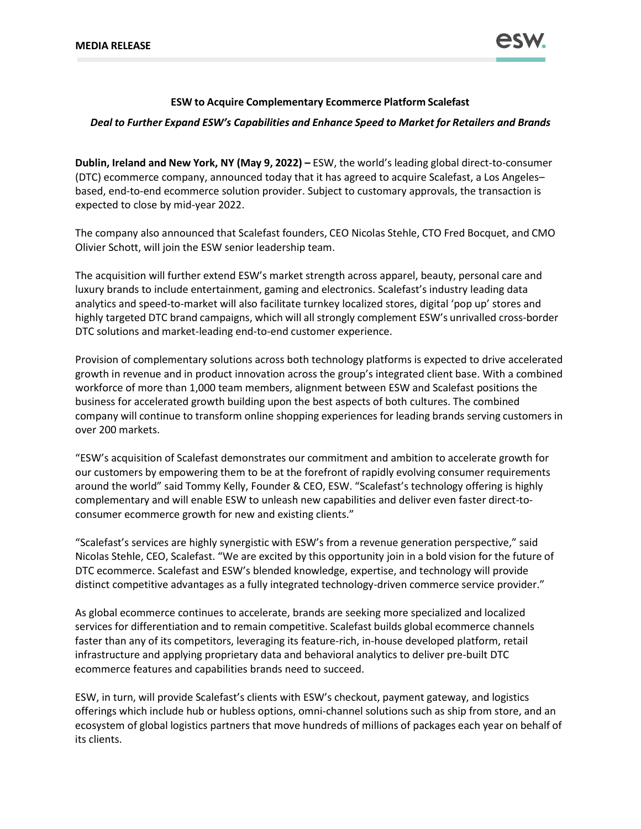

# **ESW to Acquire Complementary Ecommerce Platform Scalefast**

### *Deal to Further Expand ESW's Capabilities and Enhance Speed to Market for Retailers and Brands*

**Dublin, Ireland and New York, NY (May 9, 2022) –** ESW, the world's leading global direct-to-consumer (DTC) ecommerce company, announced today that it has agreed to acquire Scalefast, a Los Angeles– based, end-to-end ecommerce solution provider. Subject to customary approvals, the transaction is expected to close by mid-year 2022.

The company also announced that Scalefast founders, CEO Nicolas Stehle, CTO Fred Bocquet, and CMO Olivier Schott, will join the ESW senior leadership team.

The acquisition will further extend ESW's market strength across apparel, beauty, personal care and luxury brands to include entertainment, gaming and electronics. Scalefast's industry leading data analytics and speed-to-market will also facilitate turnkey localized stores, digital 'pop up' stores and highly targeted DTC brand campaigns, which will all strongly complement ESW's unrivalled cross-border DTC solutions and market-leading end-to-end customer experience.

Provision of complementary solutions across both technology platforms is expected to drive accelerated growth in revenue and in product innovation across the group's integrated client base. With a combined workforce of more than 1,000 team members, alignment between ESW and Scalefast positions the business for accelerated growth building upon the best aspects of both cultures. The combined company will continue to transform online shopping experiences for leading brands serving customers in over 200 markets.

"ESW's acquisition of Scalefast demonstrates our commitment and ambition to accelerate growth for our customers by empowering them to be at the forefront of rapidly evolving consumer requirements around the world" said Tommy Kelly, Founder & CEO, ESW. "Scalefast's technology offering is highly complementary and will enable ESW to unleash new capabilities and deliver even faster direct-toconsumer ecommerce growth for new and existing clients."

"Scalefast's services are highly synergistic with ESW's from a revenue generation perspective," said Nicolas Stehle, CEO, Scalefast. "We are excited by this opportunity join in a bold vision for the future of DTC ecommerce. Scalefast and ESW's blended knowledge, expertise, and technology will provide distinct competitive advantages as a fully integrated technology-driven commerce service provider."

As global ecommerce continues to accelerate, brands are seeking more specialized and localized services for differentiation and to remain competitive. Scalefast builds global ecommerce channels faster than any of its competitors, leveraging its feature-rich, in-house developed platform, retail infrastructure and applying proprietary data and behavioral analytics to deliver pre-built DTC ecommerce features and capabilities brands need to succeed.

ESW, in turn, will provide Scalefast's clients with ESW's checkout, payment gateway, and logistics offerings which include hub or hubless options, omni-channel solutions such as ship from store, and an ecosystem of global logistics partners that move hundreds of millions of packages each year on behalf of its clients.